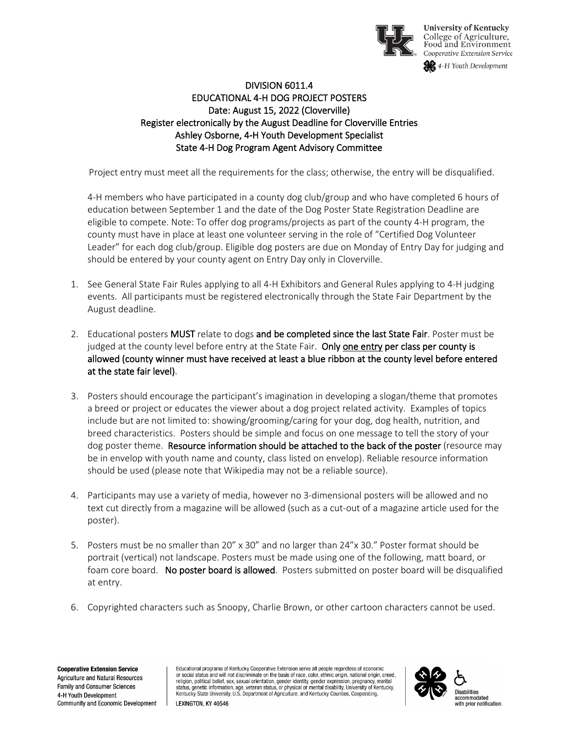

**University of Kentucky** College of Agriculture,<br>Food and Environment Cooperative Extension Service

4-H Youth Development

## DIVISION 6011.4 EDUCATIONAL 4-H DOG PROJECT POSTERS Date: August 15, 2022 (Cloverville) Register electronically by the August Deadline for Cloverville Entries Ashley Osborne, 4-H Youth Development Specialist State 4-H Dog Program Agent Advisory Committee

Project entry must meet all the requirements for the class; otherwise, the entry will be disqualified.

4-H members who have participated in a county dog club/group and who have completed 6 hours of education between September 1 and the date of the Dog Poster State Registration Deadline are eligible to compete. Note: To offer dog programs/projects as part of the county 4-H program, the county must have in place at least one volunteer serving in the role of "Certified Dog Volunteer Leader" for each dog club/group. Eligible dog posters are due on Monday of Entry Day for judging and should be entered by your county agent on Entry Day only in Cloverville.

- 1. See General State Fair Rules applying to all 4-H Exhibitors and General Rules applying to 4-H judging events. All participants must be registered electronically through the State Fair Department by the August deadline.
- 2. Educational posters MUST relate to dogs and be completed since the last State Fair. Poster must be judged at the county level before entry at the State Fair. Only one entry per class per county is allowed (county winner must have received at least a blue ribbon at the county level before entered at the state fair level).
- 3. Posters should encourage the participant's imagination in developing a slogan/theme that promotes a breed or project or educates the viewer about a dog project related activity. Examples of topics include but are not limited to: showing/grooming/caring for your dog, dog health, nutrition, and breed characteristics. Posters should be simple and focus on one message to tell the story of your dog poster theme. Resource information should be attached to the back of the poster (resource may be in envelop with youth name and county, class listed on envelop). Reliable resource information should be used (please note that Wikipedia may not be a reliable source).
- 4. Participants may use a variety of media, however no 3-dimensional posters will be allowed and no text cut directly from a magazine will be allowed (such as a cut-out of a magazine article used for the poster).
- 5. Posters must be no smaller than 20" x 30" and no larger than 24"x 30." Poster format should be portrait (vertical) not landscape. Posters must be made using one of the following, matt board, or foam core board. No poster board is allowed. Posters submitted on poster board will be disqualified at entry.
- 6. Copyrighted characters such as Snoopy, Charlie Brown, or other cartoon characters cannot be used.